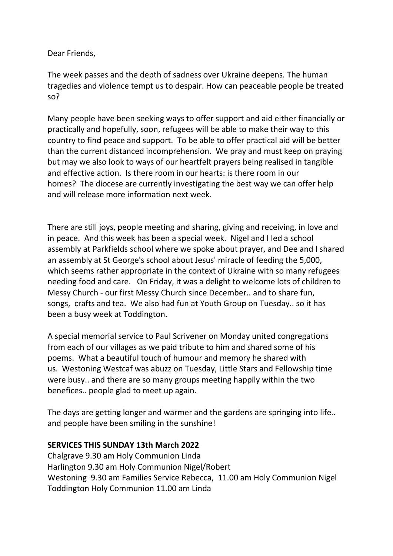Dear Friends,

The week passes and the depth of sadness over Ukraine deepens. The human tragedies and violence tempt us to despair. How can peaceable people be treated so?

Many people have been seeking ways to offer support and aid either financially or practically and hopefully, soon, refugees will be able to make their way to this country to find peace and support. To be able to offer practical aid will be better than the current distanced incomprehension. We pray and must keep on praying but may we also look to ways of our heartfelt prayers being realised in tangible and effective action. Is there room in our hearts: is there room in our homes? The diocese are currently investigating the best way we can offer help and will release more information next week.

There are still joys, people meeting and sharing, giving and receiving, in love and in peace. And this week has been a special week. Nigel and I led a school assembly at Parkfields school where we spoke about prayer, and Dee and I shared an assembly at St George's school about Jesus' miracle of feeding the 5,000, which seems rather appropriate in the context of Ukraine with so many refugees needing food and care. On Friday, it was a delight to welcome lots of children to Messy Church - our first Messy Church since December.. and to share fun, songs, crafts and tea. We also had fun at Youth Group on Tuesday.. so it has been a busy week at Toddington.

A special memorial service to Paul Scrivener on Monday united congregations from each of our villages as we paid tribute to him and shared some of his poems. What a beautiful touch of humour and memory he shared with us. Westoning Westcaf was abuzz on Tuesday, Little Stars and Fellowship time were busy.. and there are so many groups meeting happily within the two benefices.. people glad to meet up again.

The days are getting longer and warmer and the gardens are springing into life.. and people have been smiling in the sunshine!

#### **SERVICES THIS SUNDAY 13th March 2022**

Chalgrave 9.30 am Holy Communion Linda Harlington 9.30 am Holy Communion Nigel/Robert Westoning 9.30 am Families Service Rebecca, 11.00 am Holy Communion Nigel Toddington Holy Communion 11.00 am Linda